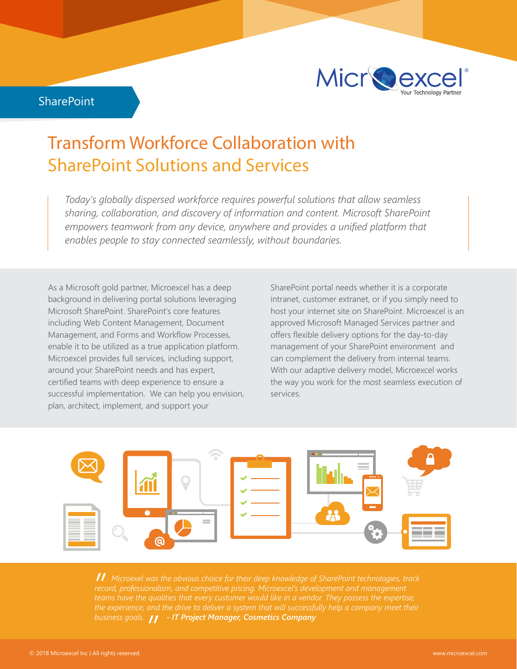

### **SharePoint**

## **Transform Workforce Collaboration with SharePoint Solutions and Services**

*Today's globally dispersed workforce requires powerful solutions that allow seamless sharing, collaboration, and discovery of information and content. Microsoft SharePoint empowers teamwork from any device, anywhere and provides a unified platform that enables people to stay connected seamlessly, without boundaries.*

As a Microsoft gold partner, Microexcel has a deep background in delivering portal solutions leveraging Microsoft SharePoint. SharePoint's core features including Web Content Management, Document Management, and Forms and Workflow Processes, enable it to be utilized as a true application platform. Microexcel provides full services, including support, around your SharePoint needs and has expert, certified teams with deep experience to ensure a successful implementation. We can help you envision, plan, architect, implement, and support your

SharePoint portal needs whether it is a corporate intranet, customer extranet, or if you simply need to host your internet site on SharePoint. Microexcel is an approved Microsoft Managed Services partner and offers flexible delivery options for the day-to-day management of your SharePoint environment and can complement the delivery from internal teams. With our adaptive delivery model, Microexcel works the way you work for the most seamless execution of services.



*Microexel was the obvious choice for their deep knowledge of SharePoint technologies, track business goals. - IT Project Manager, Cosmetics Company*